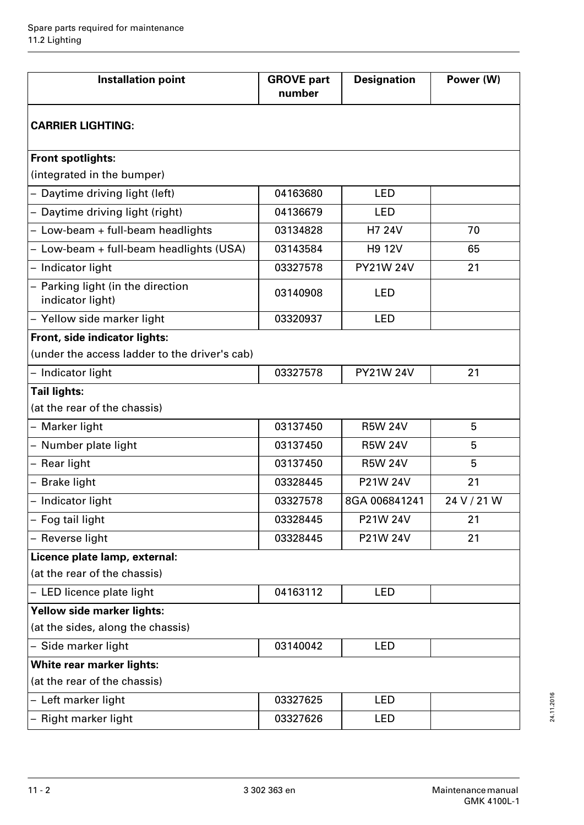| <b>Installation point</b>                             | <b>GROVE</b> part<br>number | <b>Designation</b> | Power (W)   |
|-------------------------------------------------------|-----------------------------|--------------------|-------------|
| <b>CARRIER LIGHTING:</b>                              |                             |                    |             |
| <b>Front spotlights:</b>                              |                             |                    |             |
| (integrated in the bumper)                            |                             |                    |             |
| - Daytime driving light (left)                        | 04163680                    | <b>LED</b>         |             |
| - Daytime driving light (right)                       | 04136679                    | <b>LED</b>         |             |
| - Low-beam + full-beam headlights                     | 03134828                    | H7 24V             | 70          |
| - Low-beam + full-beam headlights (USA)               | 03143584                    | <b>H9 12V</b>      | 65          |
| - Indicator light                                     | 03327578                    | <b>PY21W 24V</b>   | 21          |
| - Parking light (in the direction<br>indicator light) | 03140908                    | <b>LED</b>         |             |
| - Yellow side marker light                            | 03320937                    | <b>LED</b>         |             |
| Front, side indicator lights:                         |                             |                    |             |
| (under the access ladder to the driver's cab)         |                             |                    |             |
| - Indicator light                                     | 03327578                    | <b>PY21W 24V</b>   | 21          |
| <b>Tail lights:</b>                                   |                             |                    |             |
| (at the rear of the chassis)                          |                             |                    |             |
| - Marker light                                        | 03137450                    | <b>R5W 24V</b>     | 5           |
| - Number plate light                                  | 03137450                    | <b>R5W 24V</b>     | 5           |
| - Rear light                                          | 03137450                    | <b>R5W 24V</b>     | 5           |
| - Brake light                                         | 03328445                    | P21W 24V           | 21          |
| - Indicator light                                     | 03327578                    | 8GA 006841241      | 24 V / 21 W |
| - Fog tail light                                      | 03328445                    | P21W 24V           | 21          |
| - Reverse light                                       | 03328445                    | P21W 24V           | 21          |
| Licence plate lamp, external:                         |                             |                    |             |
| (at the rear of the chassis)                          |                             |                    |             |
| - LED licence plate light                             | 04163112                    | LED                |             |
| Yellow side marker lights:                            |                             |                    |             |
| (at the sides, along the chassis)                     |                             |                    |             |
| - Side marker light                                   | 03140042                    | <b>LED</b>         |             |
| White rear marker lights:                             |                             |                    |             |
| (at the rear of the chassis)                          |                             |                    |             |
| - Left marker light                                   | 03327625                    | <b>LED</b>         |             |
| - Right marker light                                  | 03327626                    | <b>LED</b>         |             |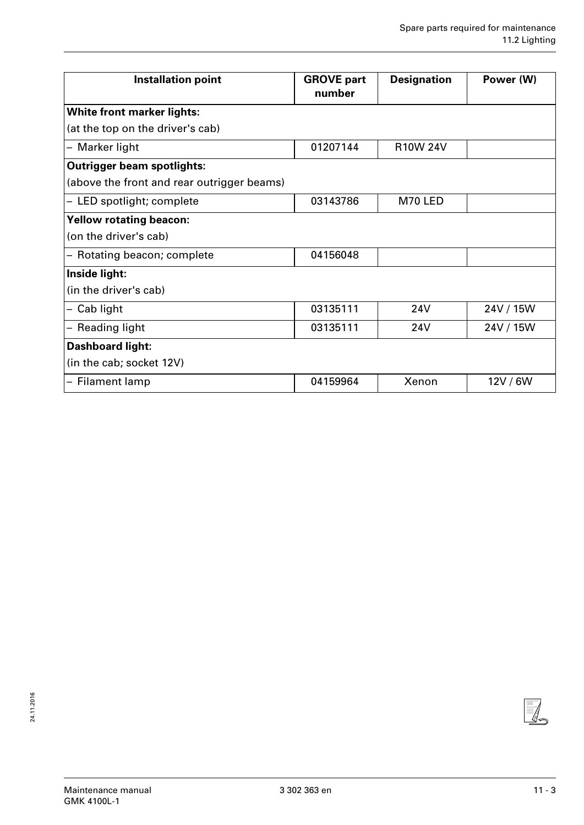| <b>Installation point</b>                  | <b>GROVE part</b><br>number | <b>Designation</b> | Power (W) |
|--------------------------------------------|-----------------------------|--------------------|-----------|
| <b>White front marker lights:</b>          |                             |                    |           |
| (at the top on the driver's cab)           |                             |                    |           |
| - Marker light                             | 01207144                    | <b>R10W 24V</b>    |           |
| <b>Outrigger beam spotlights:</b>          |                             |                    |           |
| (above the front and rear outrigger beams) |                             |                    |           |
| - LED spotlight; complete                  | 03143786                    | M70 LED            |           |
| <b>Yellow rotating beacon:</b>             |                             |                    |           |
| (on the driver's cab)                      |                             |                    |           |
| - Rotating beacon; complete                | 04156048                    |                    |           |
| Inside light:                              |                             |                    |           |
| (in the driver's cab)                      |                             |                    |           |
| Cab light                                  | 03135111                    | 24V                | 24V / 15W |
| <b>Reading light</b>                       | 03135111                    | <b>24V</b>         | 24V / 15W |
| <b>Dashboard light:</b>                    |                             |                    |           |
| (in the cab; socket 12V)                   |                             |                    |           |
| - Filament lamp                            | 04159964                    | Xenon              | 12V/6W    |